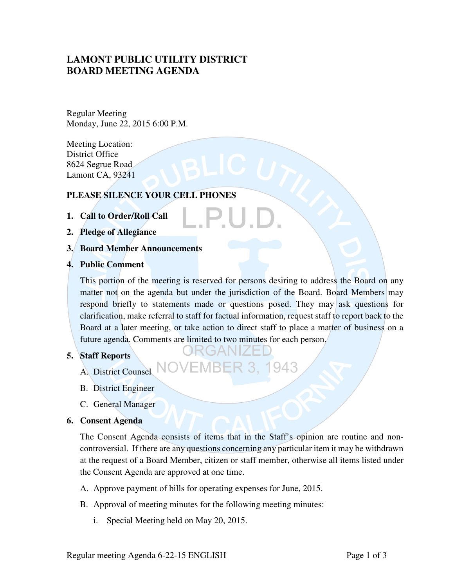# **LAMONT PUBLIC UTILITY DISTRICT BOARD MEETING AGENDA**

Regular Meeting Monday, June 22, 2015 6:00 P.M.

Meeting Location: District Office 8624 Segrue Road Lamont CA, 93241

# **PLEASE SILENCE YOUR CELL PHONES**

- **1. Call to Order/Roll Call**
- **2. Pledge of Allegiance**
- **3. Board Member Announcements**
- **4. Public Comment**

This portion of the meeting is reserved for persons desiring to address the Board on any matter not on the agenda but under the jurisdiction of the Board. Board Members may respond briefly to statements made or questions posed. They may ask questions for clarification, make referral to staff for factual information, request staff to report back to the Board at a later meeting, or take action to direct staff to place a matter of business on a future agenda. Comments are limited to two minutes for each person.

943

## **5. Staff Reports**

- A. District Counsel
- B. District Engineer
- C. General Manager

## **6. Consent Agenda**

The Consent Agenda consists of items that in the Staff's opinion are routine and noncontroversial. If there are any questions concerning any particular item it may be withdrawn at the request of a Board Member, citizen or staff member, otherwise all items listed under the Consent Agenda are approved at one time.

- A. Approve payment of bills for operating expenses for June, 2015.
- B. Approval of meeting minutes for the following meeting minutes:
	- i. Special Meeting held on May 20, 2015.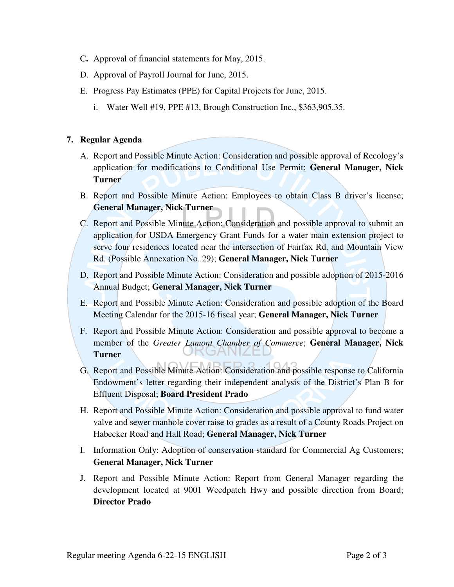- C**.** Approval of financial statements for May, 2015.
- D. Approval of Payroll Journal for June, 2015.
- E. Progress Pay Estimates (PPE) for Capital Projects for June, 2015.
	- i. Water Well #19, PPE #13, Brough Construction Inc., \$363,905.35.

# **7. Regular Agenda**

- A. Report and Possible Minute Action: Consideration and possible approval of Recology's application for modifications to Conditional Use Permit; **General Manager, Nick Turner**
- B. Report and Possible Minute Action: Employees to obtain Class B driver's license; **General Manager, Nick Turner**
- C. Report and Possible Minute Action: Consideration and possible approval to submit an application for USDA Emergency Grant Funds for a water main extension project to serve four residences located near the intersection of Fairfax Rd. and Mountain View Rd. (Possible Annexation No. 29); **General Manager, Nick Turner**
- D. Report and Possible Minute Action: Consideration and possible adoption of 2015-2016 Annual Budget; **General Manager, Nick Turner**
- E. Report and Possible Minute Action: Consideration and possible adoption of the Board Meeting Calendar for the 2015-16 fiscal year; **General Manager, Nick Turner**
- F. Report and Possible Minute Action: Consideration and possible approval to become a member of the *Greater Lamont Chamber of Commerce*; **General Manager, Nick Turner**
- G. Report and Possible Minute Action: Consideration and possible response to California Endowment's letter regarding their independent analysis of the District's Plan B for Effluent Disposal; **Board President Prado**
- H. Report and Possible Minute Action: Consideration and possible approval to fund water valve and sewer manhole cover raise to grades as a result of a County Roads Project on Habecker Road and Hall Road; **General Manager, Nick Turner**
- I. Information Only: Adoption of conservation standard for Commercial Ag Customers; **General Manager, Nick Turner**
- J. Report and Possible Minute Action: Report from General Manager regarding the development located at 9001 Weedpatch Hwy and possible direction from Board; **Director Prado**